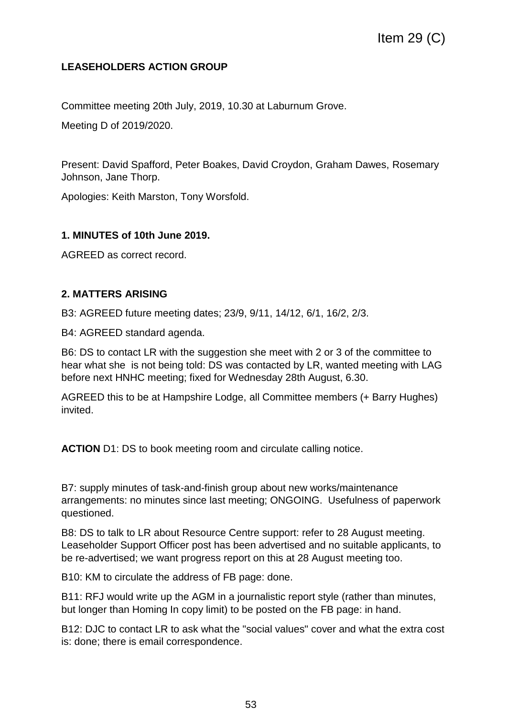# **LEASEHOLDERS ACTION GROUP**

Committee meeting 20th July, 2019, 10.30 at Laburnum Grove.

Meeting D of 2019/2020.

Present: David Spafford, Peter Boakes, David Croydon, Graham Dawes, Rosemary Johnson, Jane Thorp.

Apologies: Keith Marston, Tony Worsfold.

#### **1. MINUTES of 10th June 2019.**

AGREED as correct record.

## **2. MATTERS ARISING**

B3: AGREED future meeting dates; 23/9, 9/11, 14/12, 6/1, 16/2, 2/3.

B4: AGREED standard agenda.

B6: DS to contact LR with the suggestion she meet with 2 or 3 of the committee to hear what she is not being told: DS was contacted by LR, wanted meeting with LAG before next HNHC meeting; fixed for Wednesday 28th August, 6.30.

AGREED this to be at Hampshire Lodge, all Committee members (+ Barry Hughes) invited.

**ACTION** D1: DS to book meeting room and circulate calling notice.

B7: supply minutes of task-and-finish group about new works/maintenance arrangements: no minutes since last meeting; ONGOING. Usefulness of paperwork questioned.

B8: DS to talk to LR about Resource Centre support: refer to 28 August meeting. Leaseholder Support Officer post has been advertised and no suitable applicants, to be re-advertised; we want progress report on this at 28 August meeting too.

B10: KM to circulate the address of FB page: done.

B11: RFJ would write up the AGM in a journalistic report style (rather than minutes, but longer than Homing In copy limit) to be posted on the FB page: in hand.

B12: DJC to contact LR to ask what the "social values" cover and what the extra cost is: done; there is email correspondence.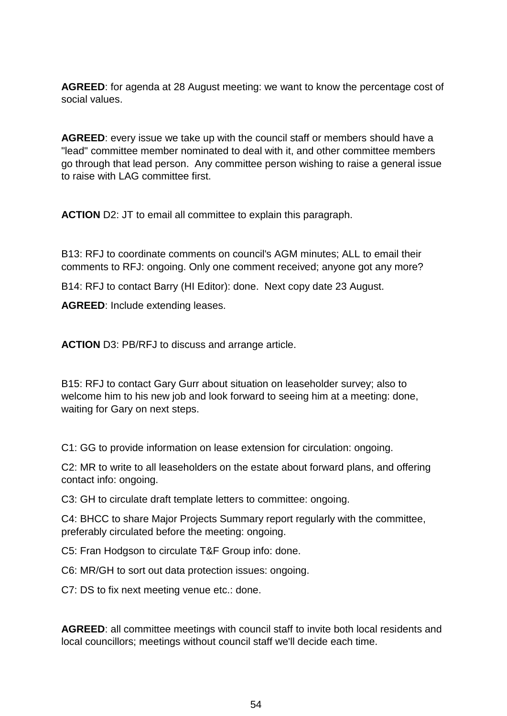**AGREED**: for agenda at 28 August meeting: we want to know the percentage cost of social values.

**AGREED**: every issue we take up with the council staff or members should have a "lead" committee member nominated to deal with it, and other committee members go through that lead person. Any committee person wishing to raise a general issue to raise with LAG committee first.

**ACTION** D2: JT to email all committee to explain this paragraph.

B13: RFJ to coordinate comments on council's AGM minutes; ALL to email their comments to RFJ: ongoing. Only one comment received; anyone got any more?

B14: RFJ to contact Barry (HI Editor): done. Next copy date 23 August.

**AGREED**: Include extending leases.

**ACTION** D3: PB/RFJ to discuss and arrange article.

B15: RFJ to contact Gary Gurr about situation on leaseholder survey; also to welcome him to his new job and look forward to seeing him at a meeting: done, waiting for Gary on next steps.

C1: GG to provide information on lease extension for circulation: ongoing.

C2: MR to write to all leaseholders on the estate about forward plans, and offering contact info: ongoing.

C3: GH to circulate draft template letters to committee: ongoing.

C4: BHCC to share Major Projects Summary report regularly with the committee, preferably circulated before the meeting: ongoing.

C5: Fran Hodgson to circulate T&F Group info: done.

C6: MR/GH to sort out data protection issues: ongoing.

C7: DS to fix next meeting venue etc.: done.

**AGREED**: all committee meetings with council staff to invite both local residents and local councillors; meetings without council staff we'll decide each time.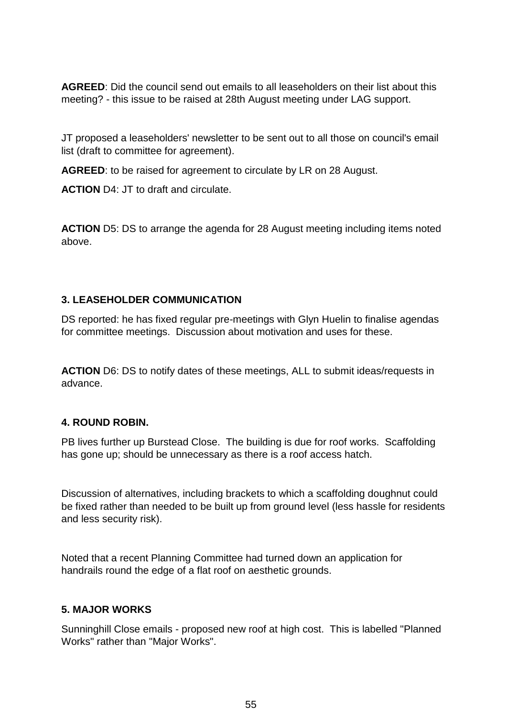**AGREED**: Did the council send out emails to all leaseholders on their list about this meeting? - this issue to be raised at 28th August meeting under LAG support.

JT proposed a leaseholders' newsletter to be sent out to all those on council's email list (draft to committee for agreement).

**AGREED**: to be raised for agreement to circulate by LR on 28 August.

**ACTION** D4: JT to draft and circulate.

**ACTION** D5: DS to arrange the agenda for 28 August meeting including items noted above.

#### **3. LEASEHOLDER COMMUNICATION**

DS reported: he has fixed regular pre-meetings with Glyn Huelin to finalise agendas for committee meetings. Discussion about motivation and uses for these.

**ACTION** D6: DS to notify dates of these meetings, ALL to submit ideas/requests in advance.

## **4. ROUND ROBIN.**

PB lives further up Burstead Close. The building is due for roof works. Scaffolding has gone up; should be unnecessary as there is a roof access hatch.

Discussion of alternatives, including brackets to which a scaffolding doughnut could be fixed rather than needed to be built up from ground level (less hassle for residents and less security risk).

Noted that a recent Planning Committee had turned down an application for handrails round the edge of a flat roof on aesthetic grounds.

#### **5. MAJOR WORKS**

Sunninghill Close emails - proposed new roof at high cost. This is labelled "Planned Works" rather than "Major Works".